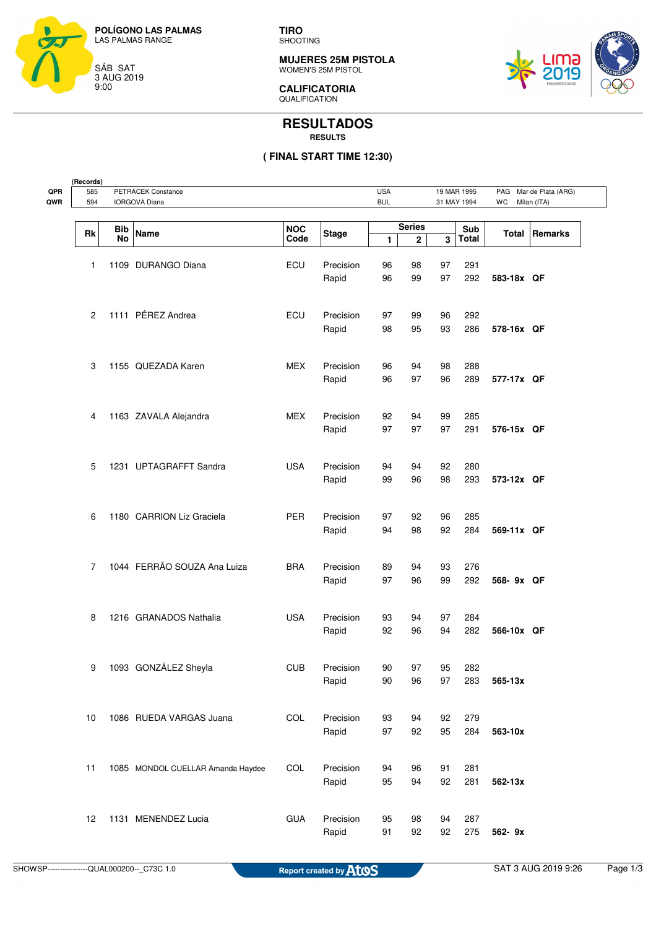

**TIRO** SHOOTING

**MUJERES 25M PISTOLA** WOMEN'S 25M PISTOL



**CALIFICATORIA** QUALIFICATION

## **RESULTADOS RESULTS**

## **( FINAL START TIME 12:30)**

| 585<br>594 | PETRACEK Constance<br><b>IORGOVA Diana</b> |                                   |                     |           |              | <b>USA</b><br>19 MAR 1995<br><b>BUL</b><br>31 MAY 1994 |    |              | WC           | Mar de Plata (ARG)<br>PAG<br>Milan (ITA) |  |
|------------|--------------------------------------------|-----------------------------------|---------------------|-----------|--------------|--------------------------------------------------------|----|--------------|--------------|------------------------------------------|--|
|            |                                            |                                   |                     |           |              |                                                        |    |              |              |                                          |  |
| Rk         | <b>Bib</b><br>Name                         |                                   | NOC<br><b>Stage</b> |           |              | <b>Series</b>                                          |    | Sub          | <b>Total</b> | Remarks                                  |  |
|            | No                                         |                                   | Code                |           | $\mathbf{1}$ | 2                                                      | 3  | <b>Total</b> |              |                                          |  |
| 1          |                                            | 1109 DURANGO Diana                | ECU                 | Precision | 96           | 98                                                     | 97 | 291          |              |                                          |  |
|            |                                            |                                   |                     | Rapid     | 96           | 99                                                     | 97 | 292          | 583-18x QF   |                                          |  |
| 2          |                                            | 1111 PÉREZ Andrea                 | ECU                 | Precision | 97           | 99                                                     | 96 | 292          |              |                                          |  |
|            |                                            |                                   |                     | Rapid     | 98           | 95                                                     | 93 | 286          | 578-16x QF   |                                          |  |
| 3          |                                            | 1155 QUEZADA Karen                | <b>MEX</b>          | Precision | 96           | 94                                                     | 98 | 288          |              |                                          |  |
|            |                                            |                                   |                     | Rapid     | 96           | 97                                                     | 96 | 289          | 577-17x QF   |                                          |  |
| 4          |                                            | 1163 ZAVALA Alejandra             | <b>MEX</b>          | Precision | 92           | 94                                                     | 99 | 285          |              |                                          |  |
|            |                                            |                                   |                     | Rapid     | 97           | 97                                                     | 97 | 291          | 576-15x QF   |                                          |  |
| 5          |                                            | 1231 UPTAGRAFFT Sandra            | <b>USA</b>          | Precision | 94           | 94                                                     | 92 | 280          |              |                                          |  |
|            |                                            |                                   |                     | Rapid     | 99           | 96                                                     | 98 | 293          | 573-12x QF   |                                          |  |
| 6          |                                            | 1180 CARRION Liz Graciela         | <b>PER</b>          | Precision | 97           | 92                                                     | 96 | 285          |              |                                          |  |
|            |                                            |                                   |                     | Rapid     | 94           | 98                                                     | 92 | 284          | 569-11x QF   |                                          |  |
| 7          |                                            | 1044 FERRÃO SOUZA Ana Luiza       | <b>BRA</b>          | Precision | 89           | 94                                                     | 93 | 276          |              |                                          |  |
|            |                                            |                                   |                     | Rapid     | 97           | 96                                                     | 99 | 292          | 568- 9x QF   |                                          |  |
| 8          |                                            | 1216 GRANADOS Nathalia            | <b>USA</b>          | Precision | 93           | 94                                                     | 97 | 284          |              |                                          |  |
|            |                                            |                                   |                     | Rapid     | 92           | 96                                                     | 94 | 282          | 566-10x QF   |                                          |  |
| 9          |                                            | 1093 GONZÁLEZ Sheyla              | <b>CUB</b>          | Precision | 90           | 97                                                     | 95 | 282          |              |                                          |  |
|            |                                            |                                   |                     | Rapid     | 90           | 96                                                     | 97 | 283          | 565-13x      |                                          |  |
| 10         |                                            | 1086 RUEDA VARGAS Juana           | COL                 | Precision | 93           | 94                                                     | 92 | 279          |              |                                          |  |
|            |                                            |                                   |                     | Rapid     | 97           | 92                                                     | 95 | 284          | 563-10x      |                                          |  |
| 11         |                                            | 1085 MONDOL CUELLAR Amanda Haydee | COL                 | Precision | 94           | 96                                                     | 91 | 281          |              |                                          |  |
|            |                                            |                                   |                     | Rapid     | 95           | 94                                                     | 92 | 281          | 562-13x      |                                          |  |
| 12         |                                            | 1131 MENENDEZ Lucia               | <b>GUA</b>          | Precision | 95           | 98                                                     | 94 | 287          |              |                                          |  |
|            |                                            |                                   |                     | Rapid     | 91           | 92                                                     | 92 | 275          | 562-9x       |                                          |  |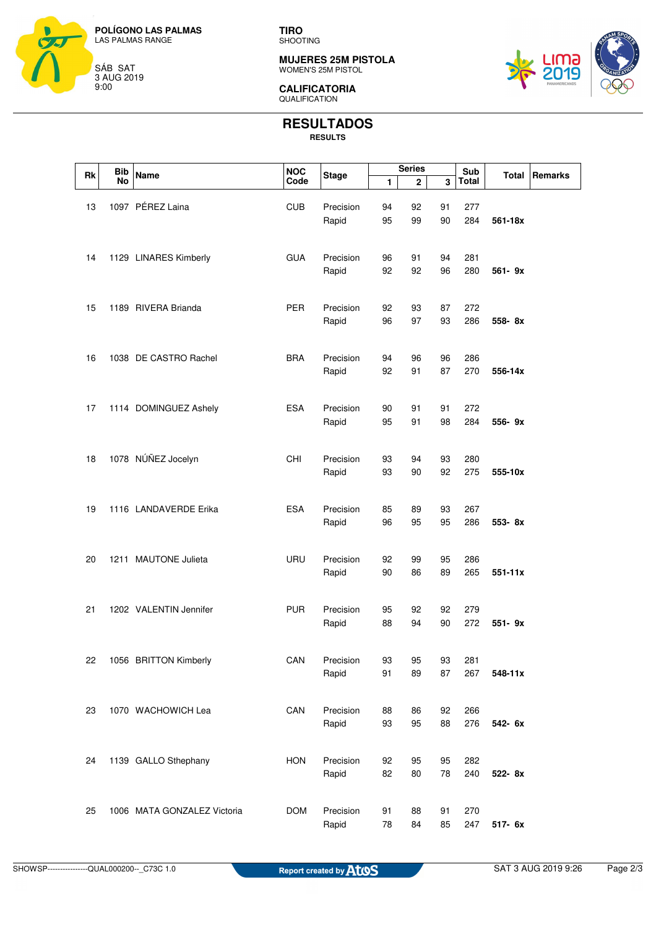

**TIRO** SHOOTING

**MUJERES 25M PISTOLA** WOMEN'S 25M PISTOL



**CALIFICATORIA** QUALIFICATION

## **RESULTADOS**

**RESULTS**

| <b>Bib</b><br>Rk |           | <b>Name</b>                 | <b>NOC</b> | <b>Stage</b> | <b>Series</b> |              |          | Sub          |              | Remarks |
|------------------|-----------|-----------------------------|------------|--------------|---------------|--------------|----------|--------------|--------------|---------|
|                  | <b>No</b> |                             | Code       |              | 1             | $\mathbf{2}$ | 3        | <b>Total</b> | <b>Total</b> |         |
|                  |           |                             |            |              |               |              |          |              |              |         |
| 13               |           | 1097 PÉREZ Laina            | <b>CUB</b> | Precision    | 94            | 92           | 91       | 277          |              |         |
|                  |           |                             |            | Rapid        | 95            | 99           | 90       | 284          | 561-18x      |         |
|                  |           |                             |            |              |               |              |          |              |              |         |
|                  |           |                             |            |              |               |              |          |              |              |         |
| 14               |           | 1129 LINARES Kimberly       | <b>GUA</b> | Precision    | 96<br>92      | 91<br>92     | 94<br>96 | 281<br>280   | 561-9x       |         |
|                  |           |                             |            | Rapid        |               |              |          |              |              |         |
|                  |           |                             |            |              |               |              |          |              |              |         |
| 15               |           | 1189 RIVERA Brianda         | <b>PER</b> | Precision    | 92            | 93           | 87       | 272          |              |         |
|                  |           |                             |            | Rapid        | 96            | 97           | 93       | 286          | 558-8x       |         |
|                  |           |                             |            |              |               |              |          |              |              |         |
|                  |           |                             |            |              |               |              |          |              |              |         |
| 16               |           | 1038 DE CASTRO Rachel       | <b>BRA</b> | Precision    | 94            | 96           | 96       | 286          |              |         |
|                  |           |                             |            | Rapid        | 92            | 91           | 87       | 270          | 556-14x      |         |
|                  |           |                             |            |              |               |              |          |              |              |         |
|                  |           |                             |            |              |               |              |          |              |              |         |
| 17               |           | 1114 DOMINGUEZ Ashely       | <b>ESA</b> | Precision    | 90            | 91           | 91       | 272          |              |         |
|                  |           |                             |            | Rapid        | 95            | 91           | 98       | 284          | 556-9x       |         |
|                  |           |                             |            |              |               |              |          |              |              |         |
| 18               |           | 1078 NÚÑEZ Jocelyn          | CHI        | Precision    |               | 94           | 93       |              |              |         |
|                  |           |                             |            |              | 93<br>93      | 90           | 92       | 280<br>275   |              |         |
|                  |           |                             |            | Rapid        |               |              |          |              | 555-10x      |         |
|                  |           |                             |            |              |               |              |          |              |              |         |
| 19               |           | 1116 LANDAVERDE Erika       | <b>ESA</b> | Precision    | 85            | 89           | 93       | 267          |              |         |
|                  |           |                             |            | Rapid        | 96            | 95           | 95       | 286          | 553-8x       |         |
|                  |           |                             |            |              |               |              |          |              |              |         |
|                  |           |                             |            |              |               |              |          |              |              |         |
| 20               |           | 1211 MAUTONE Julieta        | <b>URU</b> | Precision    | 92            | 99           | 95       | 286          |              |         |
|                  |           |                             |            | Rapid        | 90            | 86           | 89       | 265          | $551 - 11x$  |         |
|                  |           |                             |            |              |               |              |          |              |              |         |
|                  |           |                             |            |              |               |              |          |              |              |         |
| 21               |           | 1202 VALENTIN Jennifer      | <b>PUR</b> | Precision    | 95            | 92           | 92       | 279          |              |         |
|                  |           |                             |            | Rapid        | 88            | 94           | 90       | 272          | 551-9x       |         |
|                  |           |                             |            |              |               |              |          |              |              |         |
| 22               |           | 1056 BRITTON Kimberly       | CAN        | Precision    | 93            | 95           | 93       | 281          |              |         |
|                  |           |                             |            | Rapid        | 91            | 89           | 87       | 267          | 548-11x      |         |
|                  |           |                             |            |              |               |              |          |              |              |         |
|                  |           |                             |            |              |               |              |          |              |              |         |
| 23               |           | 1070 WACHOWICH Lea          | CAN        | Precision    | 88            | 86           | 92       | 266          |              |         |
|                  |           |                             |            | Rapid        | 93            | 95           | 88       | 276          | 542- 6x      |         |
|                  |           |                             |            |              |               |              |          |              |              |         |
|                  |           |                             |            |              |               |              |          |              |              |         |
| 24               |           | 1139 GALLO Sthephany        | <b>HON</b> | Precision    | 92            | 95           | 95       | 282          |              |         |
|                  |           |                             |            | Rapid        | 82            | 80           | 78       | 240          | 522-8x       |         |
|                  |           |                             |            |              |               |              |          |              |              |         |
|                  |           |                             |            |              |               |              |          |              |              |         |
| 25               |           | 1006 MATA GONZALEZ Victoria | <b>DOM</b> | Precision    | 91            | 88           | 91       | 270          |              |         |
|                  |           |                             |            | Rapid        | 78            | 84           | 85       | 247          | 517- 6x      |         |